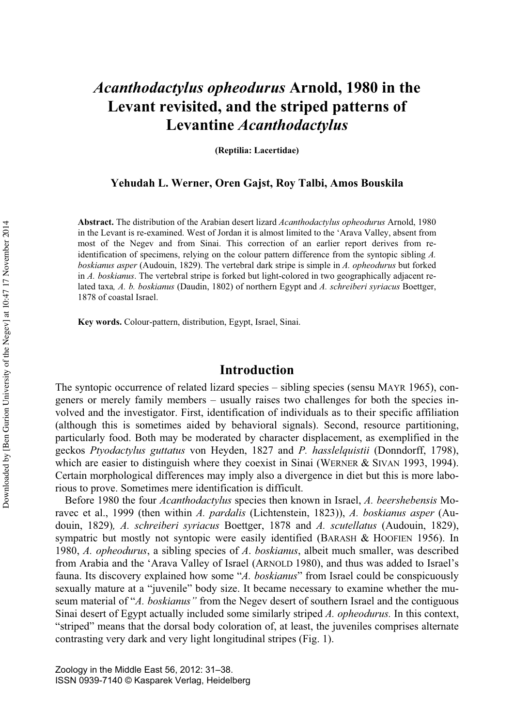# *Acanthodactylus opheodurus* **Arnold, 1980 in the Levant revisited, and the striped patterns of Levantine** *Acanthodactylus*

**(Reptilia: Lacertidae)** 

#### **Yehudah L. Werner, Oren Gajst, Roy Talbi, Amos Bouskila**

**Abstract.** The distribution of the Arabian desert lizard *Acanthodactylus opheodurus* Arnold, 1980 in the Levant is re-examined. West of Jordan it is almost limited to the 'Arava Valley, absent from most of the Negev and from Sinai. This correction of an earlier report derives from reidentification of specimens, relying on the colour pattern difference from the syntopic sibling *A. boskianus asper* (Audouin, 1829). The vertebral dark stripe is simple in *A. opheodurus* but forked in *A. boskianus*. The vertebral stripe is forked but light-colored in two geographically adjacent related taxa*, A. b. boskianus* (Daudin, 1802) of northern Egypt and *A. schreiberi syriacus* Boettger, 1878 of coastal Israel.

**Key words.** Colour-pattern, distribution, Egypt, Israel, Sinai.

## **Introduction**

The syntopic occurrence of related lizard species – sibling species (sensu MAYR 1965), congeners or merely family members – usually raises two challenges for both the species involved and the investigator. First, identification of individuals as to their specific affiliation (although this is sometimes aided by behavioral signals). Second, resource partitioning, particularly food. Both may be moderated by character displacement, as exemplified in the geckos *Ptyodactylus guttatus* von Heyden, 1827 and *P. hasslelquistii* (Donndorff, 1798), which are easier to distinguish where they coexist in Sinai (WERNER & SIVAN 1993, 1994). Certain morphological differences may imply also a divergence in diet but this is more laborious to prove. Sometimes mere identification is difficult.

Before 1980 the four *Acanthodactylus* species then known in Israel, *A. beershebensis* Moravec et al., 1999 (then within *A. pardalis* (Lichtenstein, 1823)), *A. boskianus asper* (Audouin, 1829)*, A. schreiberi syriacus* Boettger, 1878 and *A. scutellatus* (Audouin, 1829), sympatric but mostly not syntopic were easily identified (BARASH & HOOFIEN 1956). In 1980, *A. opheodurus*, a sibling species of *A*. *boskianus*, albeit much smaller, was described from Arabia and the 'Arava Valley of Israel (ARNOLD 1980), and thus was added to Israel's fauna. Its discovery explained how some "*A. boskianus*" from Israel could be conspicuously sexually mature at a "juvenile" body size. It became necessary to examine whether the museum material of "*A. boskianus"* from the Negev desert of southern Israel and the contiguous Sinai desert of Egypt actually included some similarly striped *A. opheodurus.* In this context, "striped" means that the dorsal body coloration of, at least, the juveniles comprises alternate contrasting very dark and very light longitudinal stripes (Fig. 1).

Zoology in the Middle East 56, 2012: 31–38. ISSN 0939-7140 © Kasparek Verlag, Heidelberg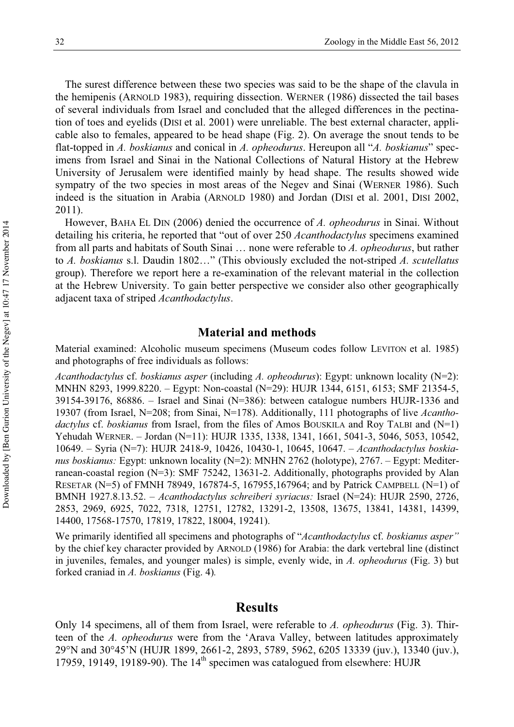The surest difference between these two species was said to be the shape of the clavula in the hemipenis (ARNOLD 1983), requiring dissection. WERNER (1986) dissected the tail bases of several individuals from Israel and concluded that the alleged differences in the pectination of toes and eyelids (DISI et al. 2001) were unreliable. The best external character, applicable also to females, appeared to be head shape (Fig. 2). On average the snout tends to be flat-topped in *A. boskianus* and conical in *A. opheodurus*. Hereupon all "*A. boskianus*" specimens from Israel and Sinai in the National Collections of Natural History at the Hebrew University of Jerusalem were identified mainly by head shape. The results showed wide sympatry of the two species in most areas of the Negev and Sinai (WERNER 1986). Such indeed is the situation in Arabia (ARNOLD 1980) and Jordan (DISI et al. 2001, DISI 2002, 2011).

However, BAHA EL DIN (2006) denied the occurrence of *A. opheodurus* in Sinai. Without detailing his criteria, he reported that "out of over 250 *Acanthodactylus* specimens examined from all parts and habitats of South Sinai … none were referable to *A. opheodurus*, but rather to *A. boskianus* s.l. Daudin 1802…" (This obviously excluded the not-striped *A. scutellatus* group). Therefore we report here a re-examination of the relevant material in the collection at the Hebrew University. To gain better perspective we consider also other geographically adjacent taxa of striped *Acanthodactylus*.

#### **Material and methods**

Material examined: Alcoholic museum specimens (Museum codes follow LEVITON et al. 1985) and photographs of free individuals as follows:

*Acanthodactylus* cf. *boskianus asper* (including *A. opheodurus*): Egypt: unknown locality (N=2): MNHN 8293, 1999.8220. – Egypt: Non-coastal (N=29): HUJR 1344, 6151, 6153; SMF 21354-5, 39154-39176, 86886. – Israel and Sinai (N=386): between catalogue numbers HUJR-1336 and 19307 (from Israel, N=208; from Sinai, N=178). Additionally, 111 photographs of live *Acanthodactylus* cf. *boskianus* from Israel, from the files of Amos BOUSKILA and Roy TALBI and (N=1) Yehudah WERNER. – Jordan (N=11): HUJR 1335, 1338, 1341, 1661, 5041-3, 5046, 5053, 10542, 10649. – Syria (N=7): HUJR 2418-9, 10426, 10430-1, 10645, 10647. – *Acanthodactylus boskianus boskianus:* Egypt: unknown locality (N=2): MNHN 2762 (holotype), 2767. – Egypt: Mediterranean-coastal region (N=3): SMF 75242, 13631-2. Additionally, photographs provided by Alan RESETAR (N=5) of FMNH 78949, 167874-5, 167955,167964; and by Patrick CAMPBELL (N=1) of BMNH 1927.8.13.52. – *Acanthodactylus schreiberi syriacus:* Israel (N=24): HUJR 2590, 2726, 2853, 2969, 6925, 7022, 7318, 12751, 12782, 13291-2, 13508, 13675, 13841, 14381, 14399, 14400, 17568-17570, 17819, 17822, 18004, 19241).

We primarily identified all specimens and photographs of "*Acanthodactylus* cf. *boskianus asper"* by the chief key character provided by ARNOLD (1986) for Arabia: the dark vertebral line (distinct in juveniles, females, and younger males) is simple, evenly wide, in *A. opheodurus* (Fig. 3) but forked craniad in *A. boskianus* (Fig. 4)*.* 

### **Results**

Only 14 specimens, all of them from Israel, were referable to *A. opheodurus* (Fig. 3). Thirteen of the *A. opheodurus* were from the 'Arava Valley, between latitudes approximately 29°N and 30°45'N (HUJR 1899, 2661-2, 2893, 5789, 5962, 6205 13339 (juv.), 13340 (juv.), 17959, 19149, 19189-90). The  $14<sup>th</sup>$  specimen was catalogued from elsewhere: HUJR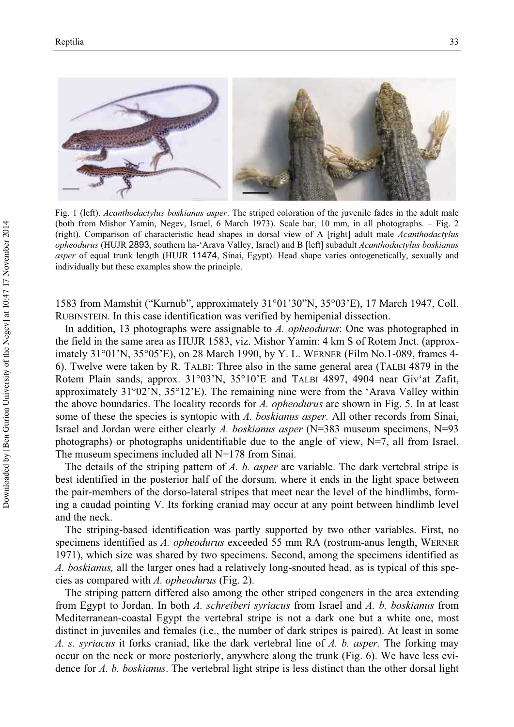

Fig. 1 (left). *Acanthodactylus boskianus asper*. The striped coloration of the juvenile fades in the adult male (both from Mishor Yamin, Negev, Israel, 6 March 1973). Scale bar, 10 mm, in all photographs. – Fig. 2 (right). Comparison of characteristic head shapes in dorsal view of A [right] adult male *Acanthodactylus opheodurus* (HUJR 2893, southern ha-'Arava Valley, Israel) and B [left] subadult *Acanthodactylus boskianus asper* of equal trunk length (HUJR 11474, Sinai, Egypt). Head shape varies ontogenetically, sexually and individually but these examples show the principle.

1583 from Mamshit ("Kurnub", approximately 31°01'30"N, 35°03'E), 17 March 1947, Coll. RUBINSTEIN. In this case identification was verified by hemipenial dissection.

In addition, 13 photographs were assignable to *A. opheodurus*: One was photographed in the field in the same area as HUJR 1583, viz. Mishor Yamin: 4 km S of Rotem Jnct. (approximately 31°01'N, 35°05'E), on 28 March 1990, by Y. L. WERNER (Film No.1-089, frames 4- 6). Twelve were taken by R. TALBI: Three also in the same general area (TALBI 4879 in the Rotem Plain sands, approx. 31°03'N, 35°10'E and TALBI 4897, 4904 near Giv'at Zafit, approximately 31°02'N, 35°12'E). The remaining nine were from the 'Arava Valley within the above boundaries. The locality records for *A. opheodurus* are shown in Fig. 5. In at least some of these the species is syntopic with *A. boskianus asper.* All other records from Sinai, Israel and Jordan were either clearly *A. boskianus asper* (N=383 museum specimens, N=93 photographs) or photographs unidentifiable due to the angle of view, N=7, all from Israel. The museum specimens included all N=178 from Sinai.

The details of the striping pattern of *A. b. asper* are variable. The dark vertebral stripe is best identified in the posterior half of the dorsum, where it ends in the light space between the pair-members of the dorso-lateral stripes that meet near the level of the hindlimbs, forming a caudad pointing V. Its forking craniad may occur at any point between hindlimb level and the neck.

The striping-based identification was partly supported by two other variables. First, no specimens identified as *A. opheodurus* exceeded 55 mm RA (rostrum-anus length, WERNER 1971), which size was shared by two specimens. Second, among the specimens identified as *A. boskianus,* all the larger ones had a relatively long-snouted head, as is typical of this species as compared with *A. opheodurus* (Fig. 2).

The striping pattern differed also among the other striped congeners in the area extending from Egypt to Jordan. In both *A. schreiberi syriacus* from Israel and *A. b. boskianus* from Mediterranean-coastal Egypt the vertebral stripe is not a dark one but a white one, most distinct in juveniles and females (i.e., the number of dark stripes is paired). At least in some *A. s. syriacus* it forks craniad, like the dark vertebral line of *A. b. asper.* The forking may occur on the neck or more posteriorly, anywhere along the trunk (Fig. 6). We have less evidence for *A. b. boskianus*. The vertebral light stripe is less distinct than the other dorsal light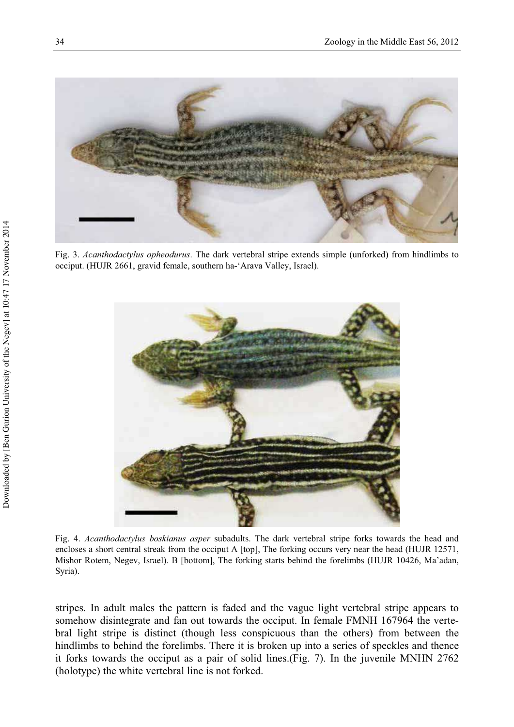

Fig. 3. *Acanthodactylus opheodurus*. The dark vertebral stripe extends simple (unforked) from hindlimbs to occiput. (HUJR 2661, gravid female, southern ha-'Arava Valley, Israel).



Fig. 4. *Acanthodactylus boskianus asper* subadults. The dark vertebral stripe forks towards the head and encloses a short central streak from the occiput A [top], The forking occurs very near the head (HUJR 12571, Mishor Rotem, Negev, Israel). B [bottom], The forking starts behind the forelimbs (HUJR 10426, Ma'adan, Syria).

stripes. In adult males the pattern is faded and the vague light vertebral stripe appears to somehow disintegrate and fan out towards the occiput. In female FMNH 167964 the vertebral light stripe is distinct (though less conspicuous than the others) from between the hindlimbs to behind the forelimbs. There it is broken up into a series of speckles and thence it forks towards the occiput as a pair of solid lines.(Fig. 7). In the juvenile MNHN 2762 (holotype) the white vertebral line is not forked.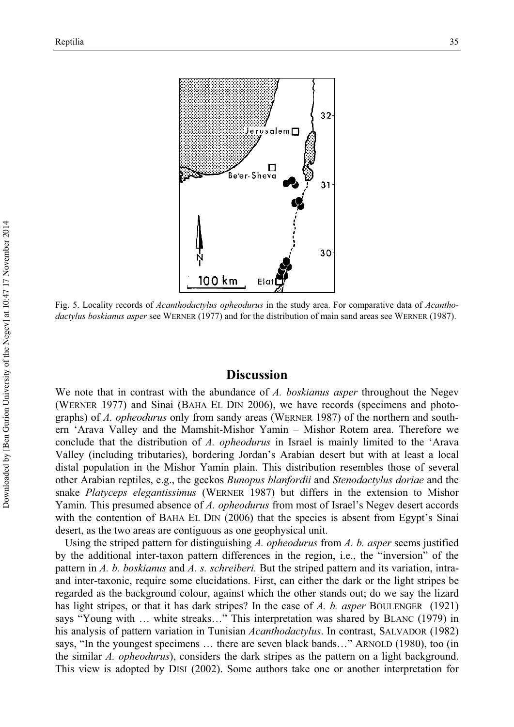

Fig. 5. Locality records of *Acanthodactylus opheodurus* in the study area. For comparative data of *Acanthodactylus boskianus asper* see WERNER (1977) and for the distribution of main sand areas see WERNER (1987).

## **Discussion**

We note that in contrast with the abundance of *A. boskianus asper* throughout the Negev (WERNER 1977) and Sinai (BAHA EL DIN 2006), we have records (specimens and photographs) of *A. opheodurus* only from sandy areas (WERNER 1987) of the northern and southern 'Arava Valley and the Mamshit-Mishor Yamin – Mishor Rotem area. Therefore we conclude that the distribution of *A. opheodurus* in Israel is mainly limited to the 'Arava Valley (including tributaries), bordering Jordan's Arabian desert but with at least a local distal population in the Mishor Yamin plain. This distribution resembles those of several other Arabian reptiles, e.g., the geckos *Bunopus blanfordii* and *Stenodactylus doriae* and the snake *Platyceps elegantissimus* (WERNER 1987) but differs in the extension to Mishor Yamin*.* This presumed absence of *A. opheodurus* from most of Israel's Negev desert accords with the contention of BAHA EL DIN (2006) that the species is absent from Egypt's Sinai desert, as the two areas are contiguous as one geophysical unit.

Using the striped pattern for distinguishing *A. opheodurus* from *A. b. asper* seems justified by the additional inter-taxon pattern differences in the region, i.e., the "inversion" of the pattern in *A. b. boskianus* and *A. s. schreiberi.* But the striped pattern and its variation, intraand inter-taxonic, require some elucidations. First, can either the dark or the light stripes be regarded as the background colour, against which the other stands out; do we say the lizard has light stripes, or that it has dark stripes? In the case of *A. b. asper* BOULENGER (1921) says "Young with … white streaks…" This interpretation was shared by BLANC (1979) in his analysis of pattern variation in Tunisian *Acanthodactylus*. In contrast, SALVADOR (1982) says, "In the youngest specimens … there are seven black bands…" ARNOLD (1980), too (in the similar *A. opheodurus*), considers the dark stripes as the pattern on a light background. This view is adopted by DISI (2002). Some authors take one or another interpretation for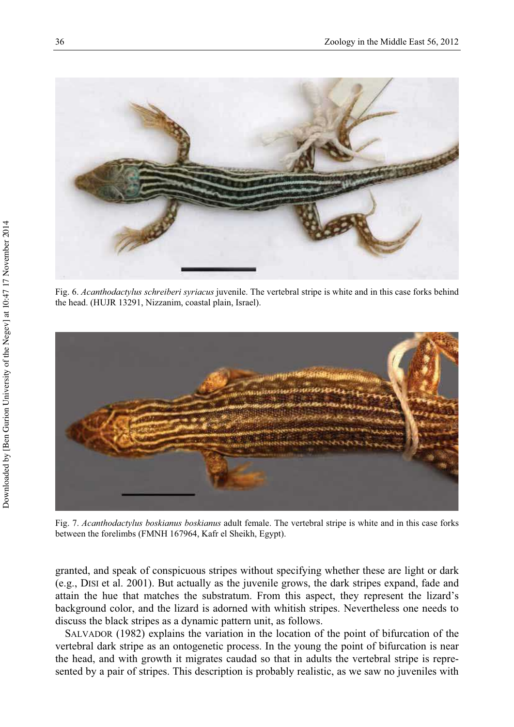

Fig. 6. *Acanthodactylus schreiberi syriacus* juvenile. The vertebral stripe is white and in this case forks behind the head. (HUJR 13291, Nizzanim, coastal plain, Israel).



Fig. 7. *Acanthodactylus boskianus boskianus* adult female. The vertebral stripe is white and in this case forks between the forelimbs (FMNH 167964, Kafr el Sheikh, Egypt).

granted, and speak of conspicuous stripes without specifying whether these are light or dark (e.g., DISI et al. 2001). But actually as the juvenile grows, the dark stripes expand, fade and attain the hue that matches the substratum. From this aspect, they represent the lizard's background color, and the lizard is adorned with whitish stripes. Nevertheless one needs to discuss the black stripes as a dynamic pattern unit, as follows.

SALVADOR (1982) explains the variation in the location of the point of bifurcation of the vertebral dark stripe as an ontogenetic process. In the young the point of bifurcation is near the head, and with growth it migrates caudad so that in adults the vertebral stripe is represented by a pair of stripes. This description is probably realistic, as we saw no juveniles with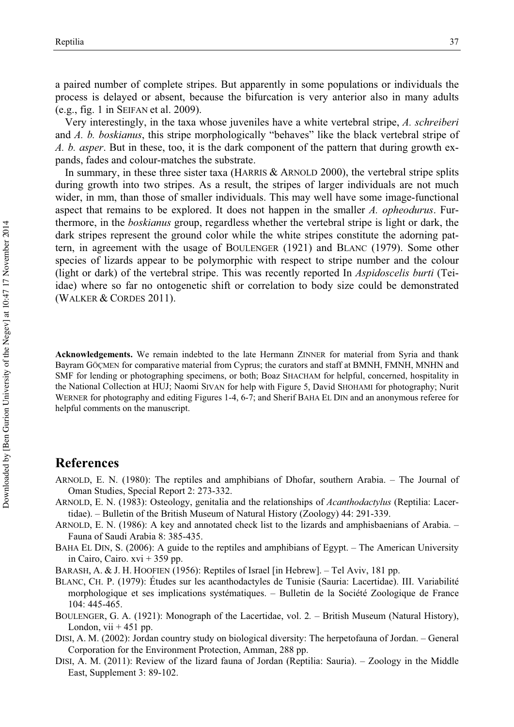a paired number of complete stripes. But apparently in some populations or individuals the process is delayed or absent, because the bifurcation is very anterior also in many adults (e.g., fig. 1 in SEIFAN et al. 2009).

Very interestingly, in the taxa whose juveniles have a white vertebral stripe, *A. schreiberi* and *A. b. boskianus*, this stripe morphologically "behaves" like the black vertebral stripe of *A. b. asper*. But in these, too, it is the dark component of the pattern that during growth expands, fades and colour-matches the substrate.

In summary, in these three sister taxa (HARRIS & ARNOLD 2000), the vertebral stripe splits during growth into two stripes. As a result, the stripes of larger individuals are not much wider, in mm, than those of smaller individuals. This may well have some image-functional aspect that remains to be explored. It does not happen in the smaller *A. opheodurus*. Furthermore, in the *boskianus* group, regardless whether the vertebral stripe is light or dark, the dark stripes represent the ground color while the white stripes constitute the adorning pattern, in agreement with the usage of BOULENGER (1921) and BLANC (1979). Some other species of lizards appear to be polymorphic with respect to stripe number and the colour (light or dark) of the vertebral stripe. This was recently reported In *Aspidoscelis burti* (Teiidae) where so far no ontogenetic shift or correlation to body size could be demonstrated (WALKER & CORDES 2011).

**Acknowledgements.** We remain indebted to the late Hermann ZINNER for material from Syria and thank Bayram GÖÇMEN for comparative material from Cyprus; the curators and staff at BMNH, FMNH, MNHN and SMF for lending or photographing specimens, or both; Boaz SHACHAM for helpful, concerned, hospitality in the National Collection at HUJ; Naomi SIVAN for help with Figure 5, David SHOHAMI for photography; Nurit WERNER for photography and editing Figures 1-4, 6-7; and Sherif BAHA EL DIN and an anonymous referee for helpful comments on the manuscript.

## **References**

- ARNOLD, E. N. (1980): The reptiles and amphibians of Dhofar, southern Arabia. The Journal of Oman Studies, Special Report 2: 273-332.
- ARNOLD, E. N. (1983): Osteology, genitalia and the relationships of *Acanthodactylus* (Reptilia: Lacertidae). – Bulletin of the British Museum of Natural History (Zoology) 44: 291-339.
- ARNOLD, E. N. (1986): A key and annotated check list to the lizards and amphisbaenians of Arabia. Fauna of Saudi Arabia 8: 385-435.
- BAHA EL DIN, S. (2006): A guide to the reptiles and amphibians of Egypt. The American University in Cairo, Cairo.  $xvi + 359$  pp.

BARASH, A. & J. H. HOOFIEN (1956): Reptiles of Israel [in Hebrew]. – Tel Aviv, 181 pp.

- BLANC, CH. P. (1979): Études sur les acanthodactyles de Tunisie (Sauria: Lacertidae). III. Variabilité morphologique et ses implications systématiques. – Bulletin de la Société Zoologique de France 104: 445-465.
- BOULENGER, G. A. (1921): Monograph of the Lacertidae, vol. 2*.* British Museum (Natural History), London, vii  $+451$  pp.
- DISI, A. M. (2002): Jordan country study on biological diversity: The herpetofauna of Jordan. General Corporation for the Environment Protection, Amman, 288 pp.
- DISI, A. M. (2011): Review of the lizard fauna of Jordan (Reptilia: Sauria). Zoology in the Middle East, Supplement 3: 89-102.